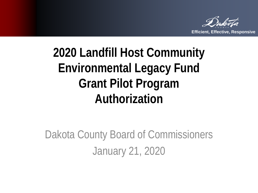

### **2020 Landfill Host Community Environmental Legacy Fund Grant Pilot Program Authorization**

Dakota County Board of Commissioners January 21, 2020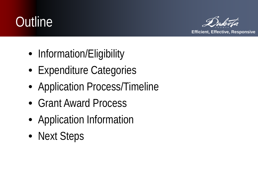### **Outline**



- Information/Eligibility
- Expenditure Categories
- Application Process/Timeline
- Grant Award Process
- Application Information
- Next Steps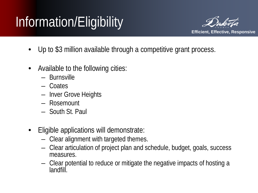# Information/Eligibility



- Up to \$3 million available through a competitive grant process.
- Available to the following cities:
	- Burnsville
	- Coates
	- Inver Grove Heights
	- Rosemount
	- South St. Paul
- Eligible applications will demonstrate:
	- Clear alignment with targeted themes.
	- Clear articulation of project plan and schedule, budget, goals, success measures.
	- Clear potential to reduce or mitigate the negative impacts of hosting a landfill.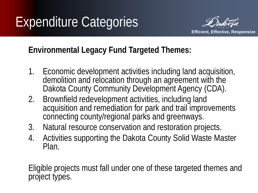

#### **Environmental Legacy Fund Targeted Themes:**

- 1. Economic development activities including land acquisition, demolition and relocation through an agreement with the Dakota County Community Development Agency (CDA).
- 2. Brownfield redevelopment activities, including land acquisition and remediation for park and trail improvements connecting county/regional parks and greenways.
- 3. Natural resource conservation and restoration projects.
- 4. Activities supporting the Dakota County Solid Waste Master Plan.

Eligible projects must fall under one of these targeted themes and project types.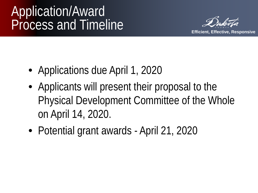### Application/Award Process and Timeline



- Applications due April 1, 2020
- Applicants will present their proposal to the Physical Development Committee of the Whole on April 14, 2020.
- Potential grant awards April 21, 2020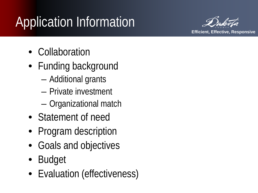# Application Information



- Collaboration
- Funding background
	- Additional grants
	- Private investment
	- Organizational match
- Statement of need
- Program description
- Goals and objectives
- Budget
- Evaluation (effectiveness)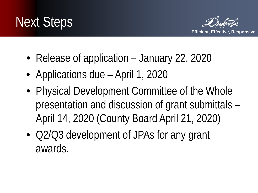



- Release of application January 22, 2020
- Applications due April 1, 2020
- Physical Development Committee of the Whole presentation and discussion of grant submittals – April 14, 2020 (County Board April 21, 2020)
- Q2/Q3 development of JPAs for any grant awards.